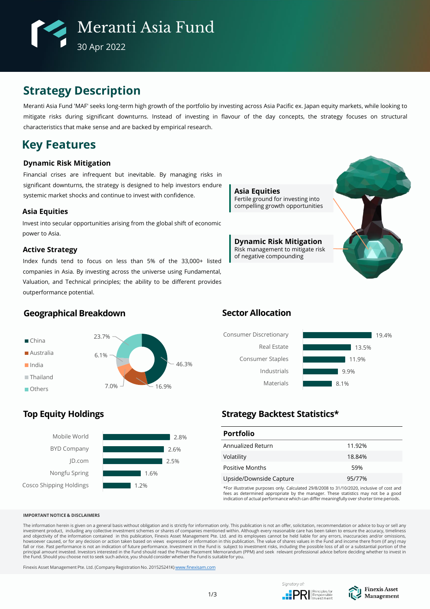

# **Strategy Description**

Meranti Asia Fund 'MAF' seeks long-term high growth of the portfolio by investing across Asia Pacific ex. Japan equity markets, while looking to mitigate risks during significant downturns. Instead of investing in flavour of the day concepts, the strategy focuses on structural characteristics that make sense and are backed by empirical research.

## **Key Features**

### **Dynamic Risk Mitigation**

Financial crises are infrequent but inevitable. By managing risks in significant downturns, the strategy is designed to help investors endure systemic market shocks and continue to invest with confidence.

### **Asia Equities**

Invest into secular opportunities arising from the global shift of economic power to Asia.

### **Active Strategy**

Index funds tend to focus on less than 5% of the 33,000+ listed companies in Asia. By investing across the universe using Fundamental, Valuation, and Technical principles; the ability to be different provides outperformance potential.



**Dynamic Risk Mitigation** Risk management to mitigate risk of negative compounding



### **Geographical Breakdown**



## **Top Equity Holdings**



## **Sector Allocation**



## **Strategy Backtest Statistics\***

| <b>Portfolio</b>        |        |
|-------------------------|--------|
| Annualized Return       | 11.92% |
| Volatility              | 18.84% |
| Positive Months         | 59%    |
| Upside/Downside Capture | 95/77% |

\*For illustrative purposes only. Calculated 29/8/2008 to 31/10/2020, inclusive of cost and fees as determined appropriate by the manager. These statistics may not be a good indication of actual performance which can differ meaningfully over shorter time periods.

#### **IMPORTANT NOTICE & DISCLAIMERS**

The information herein is given on a general basis without obligation and is strictly for information only. This publication is not an offer, solicitation, recommendation or advice to buy or sell any investment product, including any collective investment schemes or shares of companies mentioned within. Although every reasonable care has been taken to ensure the accuracy, timeliness<br>and objectivity of the information c principal amount invested. Investors interested in the Fund should read the Private Placement Memorandum (PPM) and seek relevant professional advice before deciding whether to invest in<br>the Fund. Should you choose not to

Finexis Asset Management Pte. Ltd. (Company Registration No. 201525241K) [www.finexisam.com](http://www.finexisam.com/)



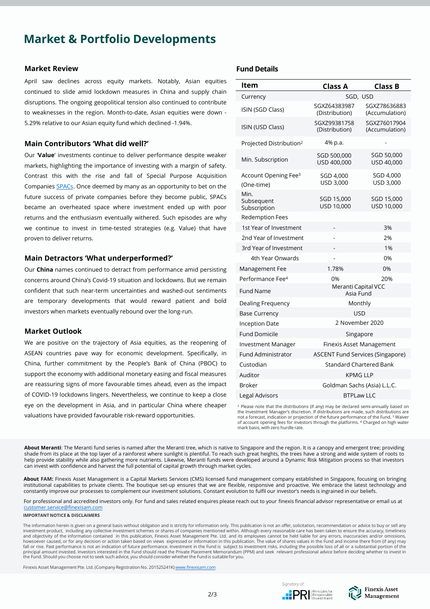# **Market & Portfolio Developments**

### **Market Review**

April saw declines across equity markets. Notably, Asian equities continued to slide amid lockdown measures in China and supply chain disruptions. The ongoing geopolitical tension also continued to contribute to weaknesses in the region. Month-to-date, Asian equities were down - 5.29% relative to our Asian equity fund which declined -1.94%.

### **Main Contributors 'What did well?'**

Our '**Value**' investments continue to deliver performance despite weaker markets, highlighting the importance of investing with a margin of safety. Contrast this with the rise and fall of Special Purpose Acquisition Companies [SPACs](https://www.forbes.com/sites/zengernews/2021/04/27/5-lessons-from-the-rise-and-fall-of-spacs/?sh=5bd274e27cb0). Once deemed by many as an opportunity to bet on the future success of private companies before they become public, SPACs became an overheated space where investment ended up with poor returns and the enthusiasm eventually withered. Such episodes are why we continue to invest in time-tested strategies (e.g. Value) that have proven to deliver returns.

### **Main Detractors 'What underperformed?'**

Our **China** names continued to detract from performance amid persisting concerns around China's Covid-19 situation and lockdowns. But we remain confident that such near-term uncertainties and washed-out sentiments are temporary developments that would reward patient and bold investors when markets eventually rebound over the long-run.

### **Market Outlook**

We are positive on the trajectory of Asia equities, as the reopening of ASEAN countries pave way for economic development. Specifically, in China, further commitment by the People's Bank of China (PBOC) to support the economy with additional monetary easing and fiscal measures are reassuring signs of more favourable times ahead, even as the impact of COVID-19 lockdowns lingers. Nevertheless, we continue to keep a close eye on the development in Asia, and in particular China where cheaper valuations have provided favourable risk-reward opportunities.

### **Fund Details**

| ltem                                           | <b>Class A</b>                          | <b>Class B</b>                 |  |  |  |  |  |
|------------------------------------------------|-----------------------------------------|--------------------------------|--|--|--|--|--|
| Currency                                       | SGD, USD                                |                                |  |  |  |  |  |
| ISIN (SGD Class)                               | SGXZ64383987<br>(Distribution)          | SGXZ78636883<br>(Accumulation) |  |  |  |  |  |
| ISIN (USD Class)                               | SGXZ99381758<br>(Distribution)          | SGXZ76017904<br>(Accumulation) |  |  |  |  |  |
| Projected Distribution <sup>2</sup>            | 4% p.a.                                 |                                |  |  |  |  |  |
| Min. Subscription                              | SGD 500,000<br>USD 400,000              | SGD 50,000<br>USD 40,000       |  |  |  |  |  |
| Account Opening Fee <sup>3</sup><br>(One-time) | SGD 4,000<br>USD 3,000                  | SGD 4,000<br>USD 3,000         |  |  |  |  |  |
| Min.<br>Subsequent<br>Subscription             | SGD 15,000<br>USD 10,000                | SGD 15,000<br>USD 10,000       |  |  |  |  |  |
| <b>Redemption Fees</b>                         |                                         |                                |  |  |  |  |  |
| 1st Year of Investment                         |                                         | 3%                             |  |  |  |  |  |
| 2nd Year of Investment                         |                                         | 2%                             |  |  |  |  |  |
| 3rd Year of Investment                         |                                         | 1%                             |  |  |  |  |  |
| 4th Year Onwards                               |                                         | 0%                             |  |  |  |  |  |
| Management Fee                                 | 1.78%                                   | 0%                             |  |  |  |  |  |
| Performance Fee <sup>4</sup>                   | 0%                                      | 20%                            |  |  |  |  |  |
| <b>Fund Name</b>                               | Meranti Capital VCC<br>Asia Fund        |                                |  |  |  |  |  |
| Dealing Frequency                              | Monthly                                 |                                |  |  |  |  |  |
| <b>Base Currency</b>                           | <b>USD</b>                              |                                |  |  |  |  |  |
| <b>Inception Date</b>                          | 2 November 2020                         |                                |  |  |  |  |  |
| <b>Fund Domicile</b>                           | Singapore                               |                                |  |  |  |  |  |
| <b>Investment Manager</b>                      | <b>Finexis Asset Management</b>         |                                |  |  |  |  |  |
| Fund Administrator                             | <b>ASCENT Fund Services (Singapore)</b> |                                |  |  |  |  |  |
| Custodian                                      | Standard Chartered Bank                 |                                |  |  |  |  |  |
| Auditor                                        | <b>KPMG LLP</b>                         |                                |  |  |  |  |  |
| <b>Broker</b>                                  | Goldman Sachs (Asia) L.L.C.             |                                |  |  |  |  |  |
| Legal Advisors                                 | <b>BTPLaw LLC</b>                       |                                |  |  |  |  |  |

<sup>2</sup> Please note that the distributions (if any) may be declared semi-annually based on the Investment Manager's discretion. If distributions are made, such distributions are not a forecast, indication or projection of the future performance of the Fund. <sup>3</sup> Waiver of account opening fees for investors through the platforms. <sup>4</sup> Charged on high water mark basis, with zero hurdle rate.

**About Meranti**: The Meranti fund series is named after the Meranti tree, which is native to Singapore and the region. It is a canopy and emergent tree; providing shade from its place at the top layer of a rainforest where sunlight is plentiful. To reach such great heights, the trees have a strong and wide system of roots to help provide stability while also gathering more nutrients. Likewise, Meranti funds were developed around a Dynamic Risk Mitigation process so that investors can invest with confidence and harvest the full potential of capital growth through market cycles.

**About FAM:** Finexis Asset Management is a Capital Markets Services (CMS) licensed fund management company established in Singapore, focusing on bringing institutional capabilities to private clients. The boutique set-up ensures that we are flexible, responsive and proactive. We embrace the latest technology and constantly improve our processes to complement our investment solutions. Constant evolution to fulfil our investor's needs is ingrained in our beliefs.

For professional and accredited investors only. For fund and sales related enquires please reach out to your finexis financial advisor representative or email us at [customer.service@finexisam.com](mailto:customer.service@finexisam.com)

#### **IMPORTANT NOTICE & DISCLAIMERS**

The information herein is given on a general basis without obligation and is strictly for information only. This publication is not an offer, solicitation, recommendation or advice to buy or sell any investment product, including any collective investment schemes or shares of companies mentioned within. Although every reasonable care has been taken to ensure the accuracy, timeliness<br>and objectivity of the information c principal amount invested. Investors interested in the Fund should read the Private Placement Memorandum (PPM) and seek relevant professional advice before deciding whether to invest in<br>the Fund. Should you choose not to

Finexis Asset Management Pte. Ltd. (Company Registration No. 201525241K) [www.finexisam.com](http://www.finexisam.com/)